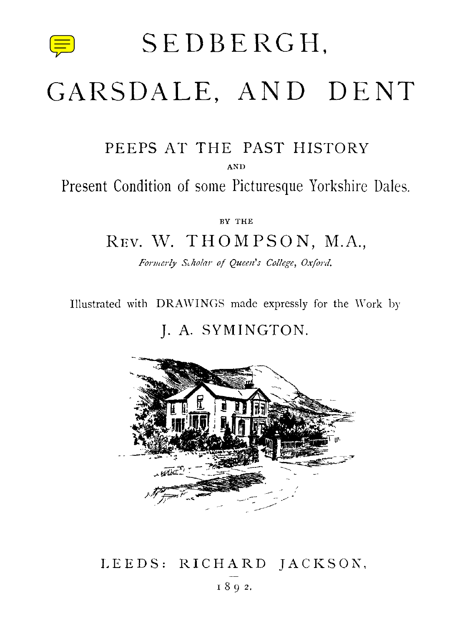

SEDBERGH,

# GARSDALE, AND DENT

### PEEPS AT THE PAST HISTORY

AND

Present Condition of some Picturesque Yorkshire Dales.

BY THE

## REV. W. THOMPSON, M.A.,

*Formerly Scholar of Queen's College, Oxford.*

Illustrated with DRAWINGS made expressly for the Work by

#### J. A. SYMINGTON.



## LEEDS: RICHARD JACKSON, 8 9 2.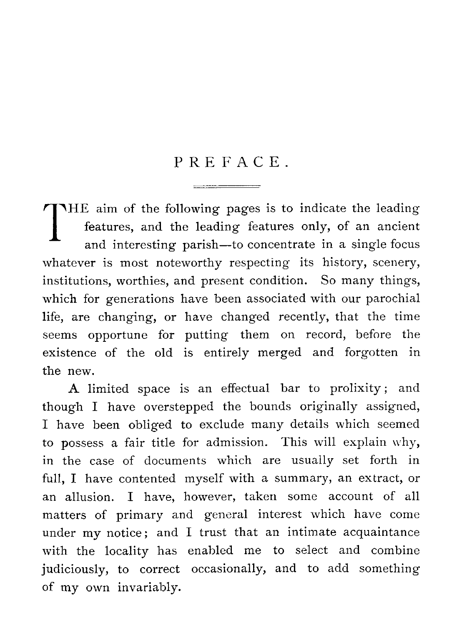## PREFACE.

**1** features, and the leading features only, of an ancient<br>and interesting parish—to concentrate in a single focus THE aim of the following pages is to indicate the leading and interesting parish—to concentrate in a single focus whatever is most noteworthy respecting its history, scenery, institutions, worthies, and present condition. So many things, which for generations have been associated with our parochial life, are changing, or have changed recently, that the time seems opportune for putting them on record, before the existence of the old is entirely merged and forgotten in the new.

A limited space is an effectual bar to prolixity ; and though I have overstepped the bounds originally assigned, I have been obliged to exclude many details which seemed to possess a fair title for admission. This will explain why, in the case of documents which are usually set forth in full, I have contented myself with a summary, an extract, or an allusion. I have, however, taken some account of all matters of primary and general interest which have come under my notice; and I trust that an intimate acquaintance with the locality has enabled me to select and combine judiciously, to correct occasionally, and to add something of my own invariably.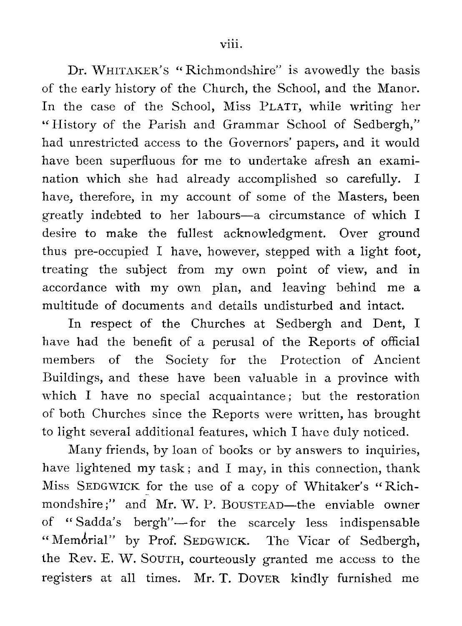Dr. WHITAKER'S " Richmondshire" is avowedly the basis of the early history of the Church, the School, and the Manor. In the case of the School, Miss PLATT, while writing her " History of the Parish and Grammar School of Sedbergh," had unrestricted access to the Governors' papers, and it would have been superfluous for me to undertake afresh an examination which she had already accomplished so carefully. I have, therefore, in my account of some of the Masters, been greatly indebted to her labours—a circumstance of which I desire to make the fullest acknowledgment. Over ground thus pre-occupied I have, however, stepped with a light foot, treating the subject from my own point of view, and in accordance with my own plan, and leaving behind me a multitude of documents and details undisturbed and intact.

In respect of the Churches at Sedbergh and Dent, I have had the benefit of a perusal of the Reports of official members of the Society for the Protection of Ancient Buildings, and these have been valuable in a province with which I have no special acquaintance; but the restoration of both Churches since the Reports were written, has brought to light several additional features, which I have duly noticed.

Many friends, by loan of books or by answers to inquiries, have lightened my task; and I may, in this connection, thank Miss SEDGWICK for the use of a copy of Whitaker's " Richmondshire;" and Mr. W. P. BOUSTEAD—the enviable owner of " Sadda's bergh"— for the scarcely less indispensable "Memorial" by Prof. SEDGWICK. The Vicar of Sedbergh, the Rev. E. W. SOUTH, courteously granted me access to the registers at all times. Mr. T. DOVER kindly furnished me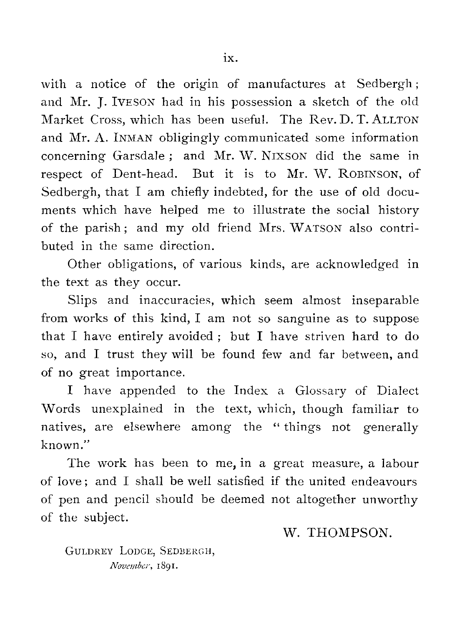with a notice of the origin of manufactures at Sedbergh; and Mr. J. IVESON had in his possession a sketch of the old Market Cross, which has been useful. The Rev. D. T. ALLTON and Mr. A. INMAN obligingly communicated some information concerning Garsdale ; and Mr. W. NIXSON did the same in respect of Dent-head. But it is to Mr. W. ROBINSON, of Sedbergh, that I am chiefly indebted, for the use of old documents which have helped me to illustrate the social history of the parish ; and my old friend Mrs. WATSON also contributed in the same direction.

Other obligations, of various kinds, are acknowledged in the text as they occur.

Slips and inaccuracies, which seem almost inseparable from works of this kind, I am not so sanguine as to suppose that I have entirely avoided ; but I have striven hard to do so, and I trust they will be found few and far between, and of no great importance.

I have appended to the Index a Glossary of Dialect Words unexplained in the text, which, though familiar to natives, are elsewhere among the " things not generally known."

The work has been to me, in a great measure, a labour of love ; and I shall be well satisfied if the united endeavours of pen and pencil should be deemed not altogether unworthy of the subject.

W. THOMPSON.

GULDREY LODGE, SEDBERGH, *November, 1891.*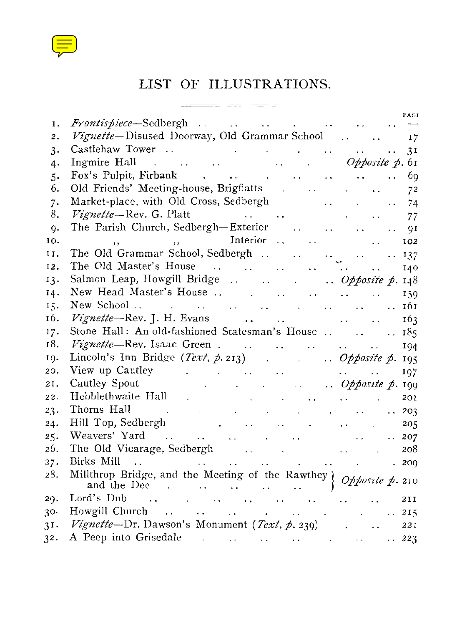

## LIST OF ILLUSTRATIONS.

|          | LIST OF ILLUSTRATIONS.                                                                                                                                                                                                                         |                            |                  |
|----------|------------------------------------------------------------------------------------------------------------------------------------------------------------------------------------------------------------------------------------------------|----------------------------|------------------|
|          | ನು ಆರ್. <del>ಇಲ್</del> ಲಾಂ                                                                                                                                                                                                                     |                            | PAGE             |
| Ι.       |                                                                                                                                                                                                                                                |                            |                  |
| 2.       | Vignette-Disused Doorway, Old Grammar School                                                                                                                                                                                                   |                            |                  |
| 3.       | Castlehaw Tower  31                                                                                                                                                                                                                            |                            |                  |
| 4.       | $\ldots$ $\ldots$ $\ldots$ $\ldots$ $\ldots$ $\ldots$ $\ldots$ $\ldots$ $\ldots$ $\ldots$ $\ldots$ $\ldots$ $\ldots$ $\ldots$<br>Ingmire Hall                                                                                                  |                            |                  |
| .5.      | Old Friends' Meeting-house, Brigflatts and all the contract of the contract of the contract of the contract of the contract of the contract of the contract of the contract of the contract of the contract of the contract of                 | $\sim 10^{-1}$             | 6q               |
| 6.<br>7. |                                                                                                                                                                                                                                                | $\cdots$                   | 72               |
| 8.       | <i>Vignette</i> —Rev. G. Platt<br>and the state of the state of                                                                                                                                                                                | and the state of the state | 74<br>77         |
| 9.       | The Parish Church, Sedbergh-Exterior                                                                                                                                                                                                           |                            | QI               |
| 10.      | $\overline{\phantom{a}}$<br>$\cdot$ .                                                                                                                                                                                                          |                            | 102              |
| 11.      | The Old Grammar School, Sedbergh                                                                                                                                                                                                               |                            | $\therefore$ 137 |
| 12.      | $\label{eq:2} \mathcal{L}^{\text{max}}_{\text{max}}(\mathbf{r},\mathbf{r}) = \mathcal{L}^{\text{max}}_{\text{max}}(\mathbf{r},\mathbf{r},\mathbf{r})$                                                                                          | $\mathbf{r}$ .             | 140              |
| 13.      | Salmon Leap, Howgill Bridge  . Opposite p. 148                                                                                                                                                                                                 |                            |                  |
| 14.      |                                                                                                                                                                                                                                                |                            | 159              |
| 15.      | New School                                                                                                                                                                                                                                     |                            |                  |
| 16.      |                                                                                                                                                                                                                                                |                            | 163              |
| 17.      | Stone Hall: An old-fashioned Statesman's House    185                                                                                                                                                                                          |                            |                  |
| 18.      |                                                                                                                                                                                                                                                |                            | 194              |
| 19.      |                                                                                                                                                                                                                                                |                            |                  |
| 20.      | View up Cautley<br>$\mathcal{A}$ and $\mathcal{A}$ is a second contribution of the second contribution $\mathcal{A}$                                                                                                                           |                            | 197              |
| 21.      | Cautley Spout                                                                                                                                                                                                                                  |                            |                  |
| 22.      | Hebblethwaite Hall<br>$\mathcal{L}(\mathcal{A})$ and $\mathcal{L}(\mathcal{A})$ is a subset of the set of the set of the $\mathcal{L}(\mathcal{A})$                                                                                            |                            | 201              |
| 23.      | Thorns Hall<br>$\mathcal{A}$ and $\mathcal{A}$ are the set of the set of the set of $\mathcal{A}$<br>$\Delta \sim 100$                                                                                                                         |                            | $\therefore$ 203 |
| 24.      | Hill Top, Sedbergh<br>$\mathcal{O}(\mathcal{O}(10^6) \times 10^{10} \mathrm{G})$ . The contribution of the contribution                                                                                                                        |                            | 205              |
| 25.      | Weavers' Yard<br>and the second contract of the second contract of the second contract of the second contract of the second contract of the second contract of the second contract of the second contract of the second contract of the second | $\sim 10^{-1}$             | 207              |
| 26.      |                                                                                                                                                                                                                                                |                            | 208              |
| 27.      | Birks Mill<br>$\mathcal{L}^{\mathcal{L}}$ and the contribution of the contribution of the contribution of $\mathcal{L}^{\mathcal{L}}$<br>$\sim 10^{-1}$                                                                                        |                            | .200             |
| 28.      |                                                                                                                                                                                                                                                |                            |                  |
| 20.      | Lord's Dub<br>الموارد والموارد والموارد والموارد والموارد والموارد والموارد                                                                                                                                                                    |                            | 211              |
| $30-$    | Howgill Church        215                                                                                                                                                                                                                      |                            |                  |
| 3I.      |                                                                                                                                                                                                                                                |                            | 221              |
| 32.      | A Peep into Grisedale                                                                                                                                                                                                                          |                            |                  |